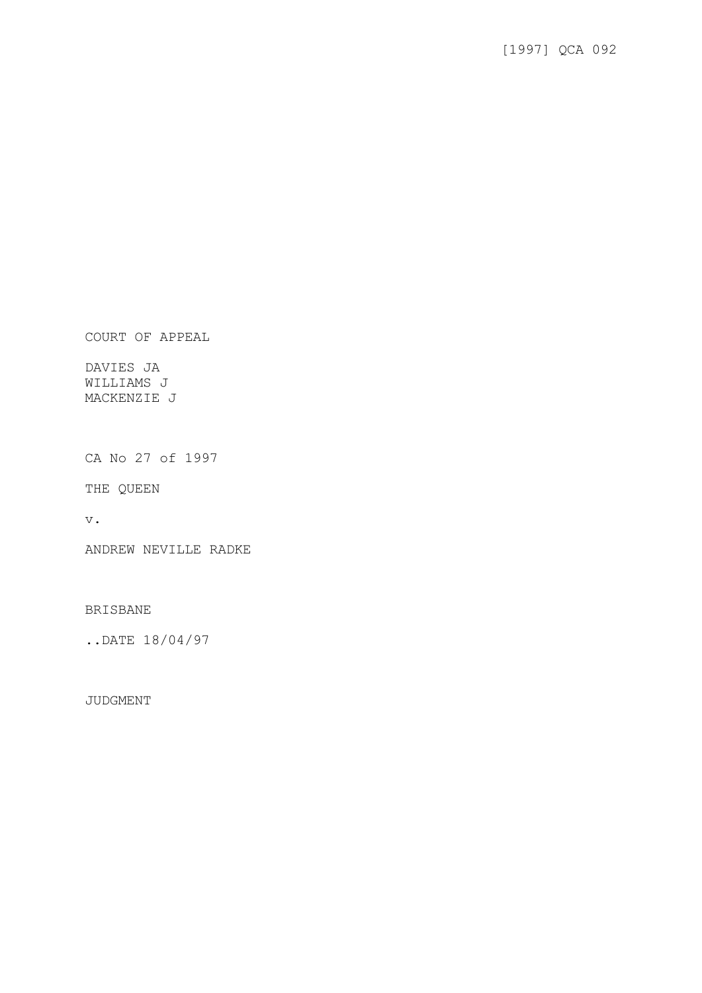COURT OF APPEAL

DAVIES JA WILLIAMS J MACKENZIE J

CA No 27 of 1997

THE QUEEN

v.

ANDREW NEVILLE RADKE

BRISBANE

..DATE 18/04/97

JUDGMENT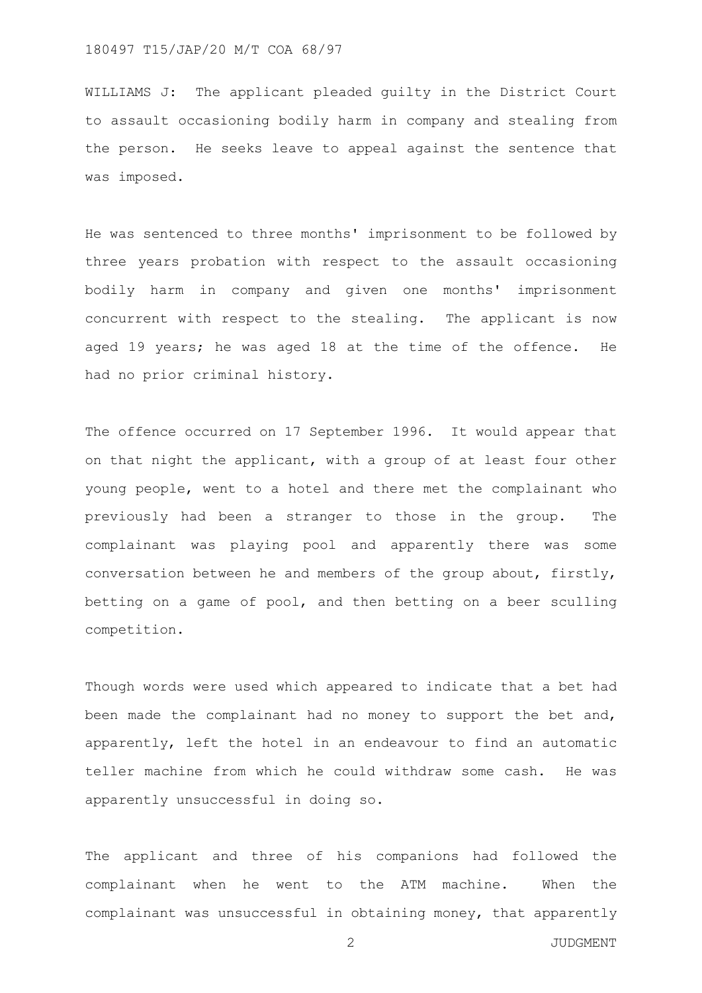WILLIAMS J: The applicant pleaded guilty in the District Court to assault occasioning bodily harm in company and stealing from the person. He seeks leave to appeal against the sentence that was imposed.

He was sentenced to three months' imprisonment to be followed by three years probation with respect to the assault occasioning bodily harm in company and given one months' imprisonment concurrent with respect to the stealing. The applicant is now aged 19 years; he was aged 18 at the time of the offence. He had no prior criminal history.

The offence occurred on 17 September 1996. It would appear that on that night the applicant, with a group of at least four other young people, went to a hotel and there met the complainant who previously had been a stranger to those in the group. The complainant was playing pool and apparently there was some conversation between he and members of the group about, firstly, betting on a game of pool, and then betting on a beer sculling competition.

Though words were used which appeared to indicate that a bet had been made the complainant had no money to support the bet and, apparently, left the hotel in an endeavour to find an automatic teller machine from which he could withdraw some cash. He was apparently unsuccessful in doing so.

The applicant and three of his companions had followed the complainant when he went to the ATM machine. When the complainant was unsuccessful in obtaining money, that apparently

2 JUDGMENT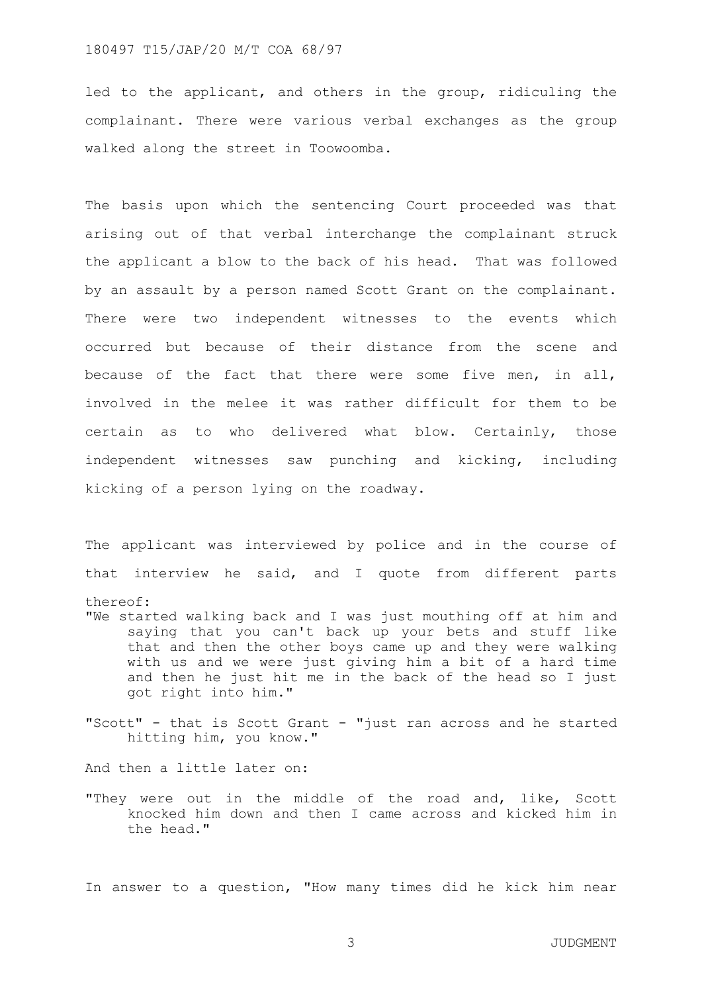led to the applicant, and others in the group, ridiculing the complainant. There were various verbal exchanges as the group walked along the street in Toowoomba.

The basis upon which the sentencing Court proceeded was that arising out of that verbal interchange the complainant struck the applicant a blow to the back of his head. That was followed by an assault by a person named Scott Grant on the complainant. There were two independent witnesses to the events which occurred but because of their distance from the scene and because of the fact that there were some five men, in all, involved in the melee it was rather difficult for them to be certain as to who delivered what blow. Certainly, those independent witnesses saw punching and kicking, including kicking of a person lying on the roadway.

The applicant was interviewed by police and in the course of that interview he said, and I quote from different parts thereof: "We started walking back and I was just mouthing off at him and

- saying that you can't back up your bets and stuff like that and then the other boys came up and they were walking with us and we were just giving him a bit of a hard time and then he just hit me in the back of the head so I just got right into him."
- "Scott" that is Scott Grant "just ran across and he started hitting him, you know."

And then a little later on:

"They were out in the middle of the road and, like, Scott knocked him down and then I came across and kicked him in the head."

In answer to a question, "How many times did he kick him near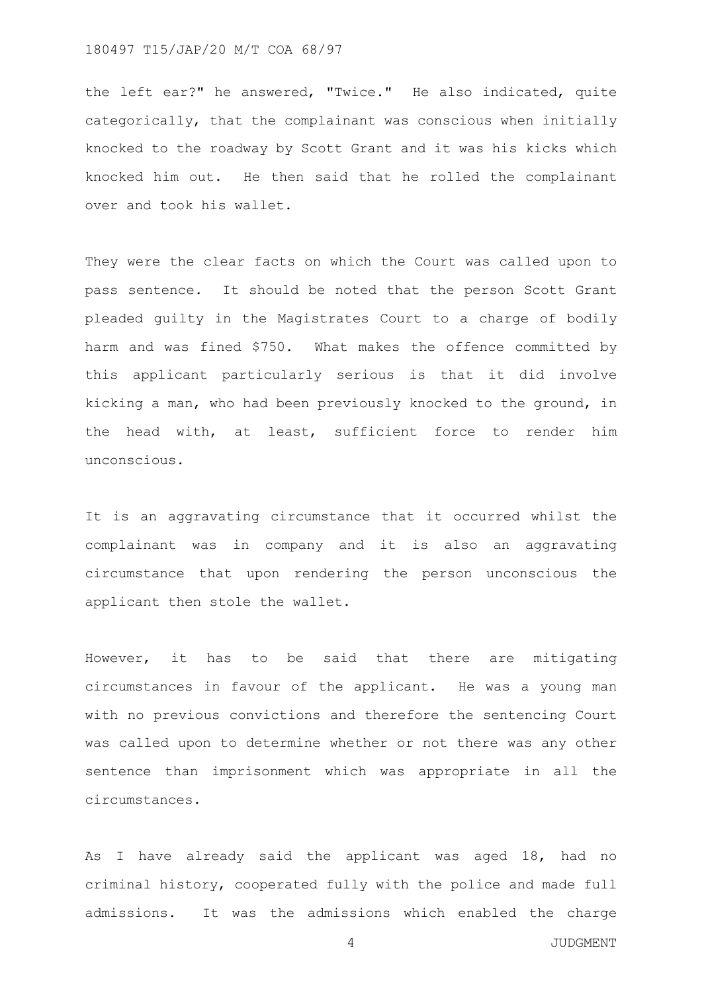the left ear?" he answered, "Twice." He also indicated, quite categorically, that the complainant was conscious when initially knocked to the roadway by Scott Grant and it was his kicks which knocked him out. He then said that he rolled the complainant over and took his wallet.

They were the clear facts on which the Court was called upon to pass sentence. It should be noted that the person Scott Grant pleaded guilty in the Magistrates Court to a charge of bodily harm and was fined \$750. What makes the offence committed by this applicant particularly serious is that it did involve kicking a man, who had been previously knocked to the ground, in the head with, at least, sufficient force to render him unconscious.

It is an aggravating circumstance that it occurred whilst the complainant was in company and it is also an aggravating circumstance that upon rendering the person unconscious the applicant then stole the wallet.

However, it has to be said that there are mitigating circumstances in favour of the applicant. He was a young man with no previous convictions and therefore the sentencing Court was called upon to determine whether or not there was any other sentence than imprisonment which was appropriate in all the circumstances.

As I have already said the applicant was aged 18, had no criminal history, cooperated fully with the police and made full admissions. It was the admissions which enabled the charge

4 JUDGMENT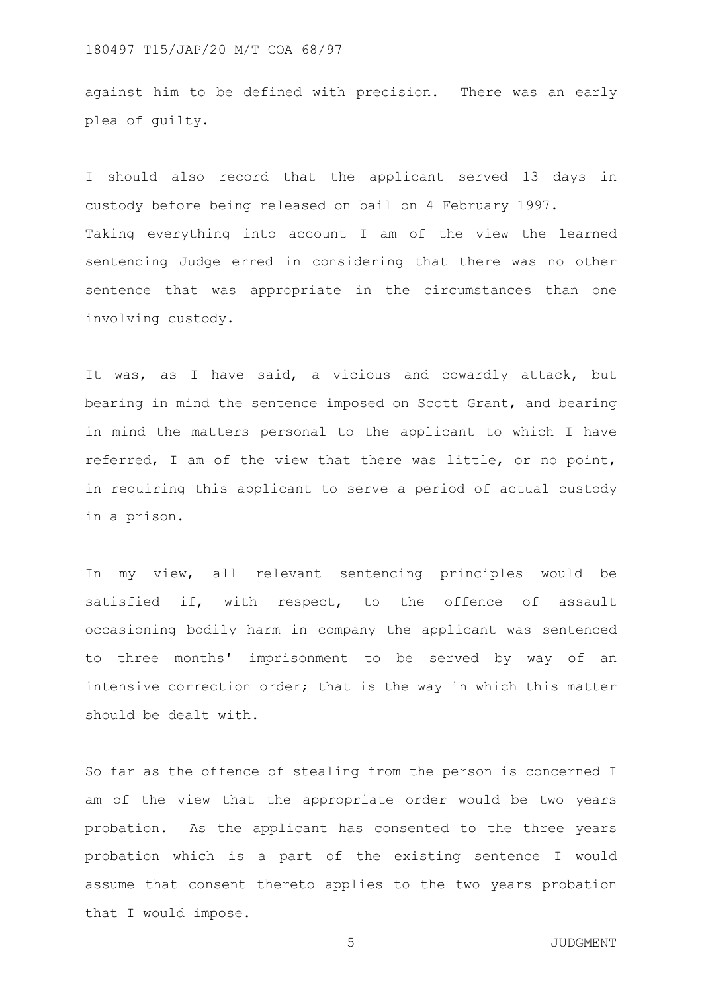against him to be defined with precision. There was an early plea of guilty.

I should also record that the applicant served 13 days in custody before being released on bail on 4 February 1997. Taking everything into account I am of the view the learned sentencing Judge erred in considering that there was no other sentence that was appropriate in the circumstances than one involving custody.

It was, as I have said, a vicious and cowardly attack, but bearing in mind the sentence imposed on Scott Grant, and bearing in mind the matters personal to the applicant to which I have referred, I am of the view that there was little, or no point, in requiring this applicant to serve a period of actual custody in a prison.

In my view, all relevant sentencing principles would be satisfied if, with respect, to the offence of assault occasioning bodily harm in company the applicant was sentenced to three months' imprisonment to be served by way of an intensive correction order; that is the way in which this matter should be dealt with.

So far as the offence of stealing from the person is concerned I am of the view that the appropriate order would be two years probation. As the applicant has consented to the three years probation which is a part of the existing sentence I would assume that consent thereto applies to the two years probation that I would impose.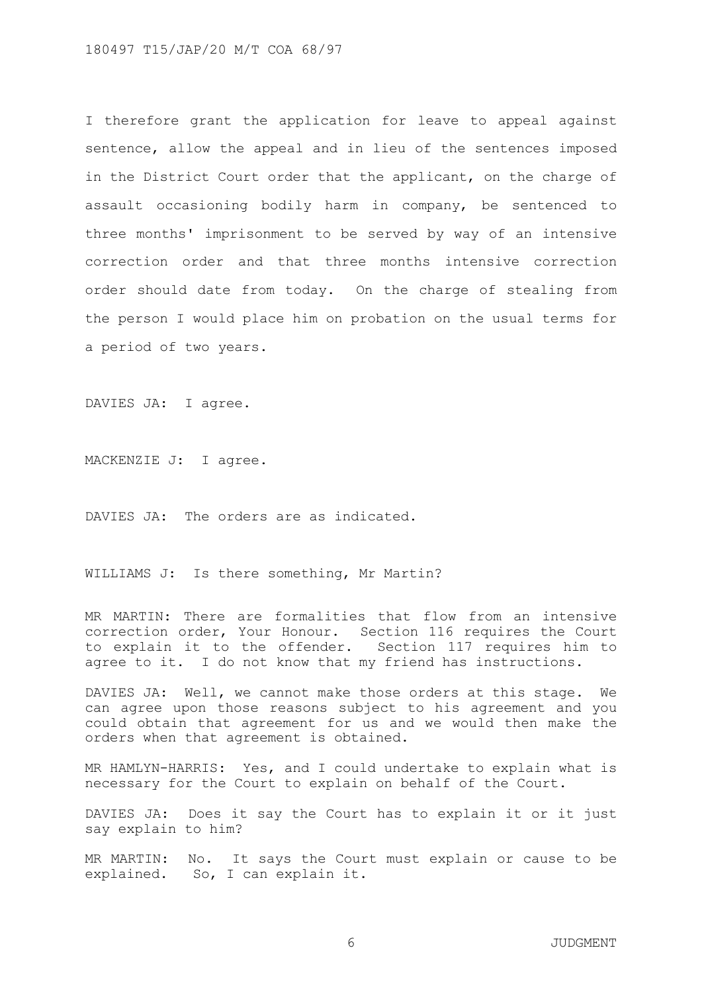I therefore grant the application for leave to appeal against sentence, allow the appeal and in lieu of the sentences imposed in the District Court order that the applicant, on the charge of assault occasioning bodily harm in company, be sentenced to three months' imprisonment to be served by way of an intensive correction order and that three months intensive correction order should date from today. On the charge of stealing from the person I would place him on probation on the usual terms for a period of two years.

DAVIES JA: I agree.

MACKENZIE J: I agree.

DAVIES JA: The orders are as indicated.

WILLIAMS J: Is there something, Mr Martin?

MR MARTIN: There are formalities that flow from an intensive correction order, Your Honour. Section 116 requires the Court to explain it to the offender. Section 117 requires him to agree to it. I do not know that my friend has instructions.

DAVIES JA: Well, we cannot make those orders at this stage. We can agree upon those reasons subject to his agreement and you could obtain that agreement for us and we would then make the orders when that agreement is obtained.

MR HAMLYN-HARRIS: Yes, and I could undertake to explain what is necessary for the Court to explain on behalf of the Court.

DAVIES JA: Does it say the Court has to explain it or it just say explain to him?

MR MARTIN: No. It says the Court must explain or cause to be explained. So, I can explain it.